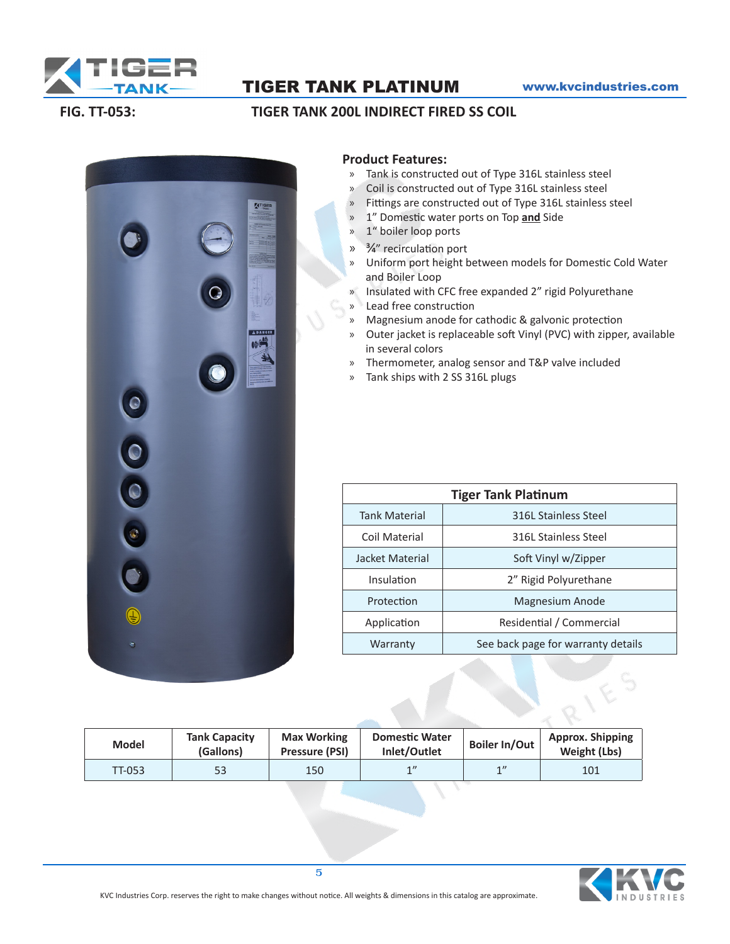

# TIGER TANK PLATINUM www.kvcindustries.com

## **FIG. TT-053: TIGER TANK 200L INDIRECT FIRED SS COIL**



### **Product Features:**

- » Tank is constructed out of Type 316L stainless steel
- » Coil is constructed out of Type 316L stainless steel
- » Fittings are constructed out of Type 316L stainless steel
- » 1" Domestic water ports on Top **and** Side
- » 1" boiler loop ports
- » 3/4" recirculation port
- » Uniform port height between models for Domestic Cold Water and Boiler Loop
- » Insulated with CFC free expanded 2" rigid Polyurethane
- » Lead free construction
- » Magnesium anode for cathodic & galvonic protection
- » Outer jacket is replaceable soft Vinyl (PVC) with zipper, available in several colors
- » Thermometer, analog sensor and T&P valve included
- » Tank ships with 2 SS 316L plugs

| <b>Tiger Tank Platinum</b> |                                    |  |  |  |  |  |  |
|----------------------------|------------------------------------|--|--|--|--|--|--|
| <b>Tank Material</b>       | 316L Stainless Steel               |  |  |  |  |  |  |
| Coil Material              | 316L Stainless Steel               |  |  |  |  |  |  |
| Jacket Material            | Soft Vinyl w/Zipper                |  |  |  |  |  |  |
| Insulation                 | 2" Rigid Polyurethane              |  |  |  |  |  |  |
| Protection                 | Magnesium Anode                    |  |  |  |  |  |  |
| Application                | Residential / Commercial           |  |  |  |  |  |  |
| Warranty                   | See back page for warranty details |  |  |  |  |  |  |

| <b>Model</b>  | <b>Tank Capacity</b><br>(Gallons) | <b>Max Working</b><br>Pressure (PSI) | <b>Domestic Water</b><br>Inlet/Outlet | <b>Boiler In/Out</b> | <b>Approx. Shipping</b><br>Weight (Lbs) |
|---------------|-----------------------------------|--------------------------------------|---------------------------------------|----------------------|-----------------------------------------|
| <b>TT-053</b> | 53                                | 150                                  | 1                                     | 1"                   | 101                                     |